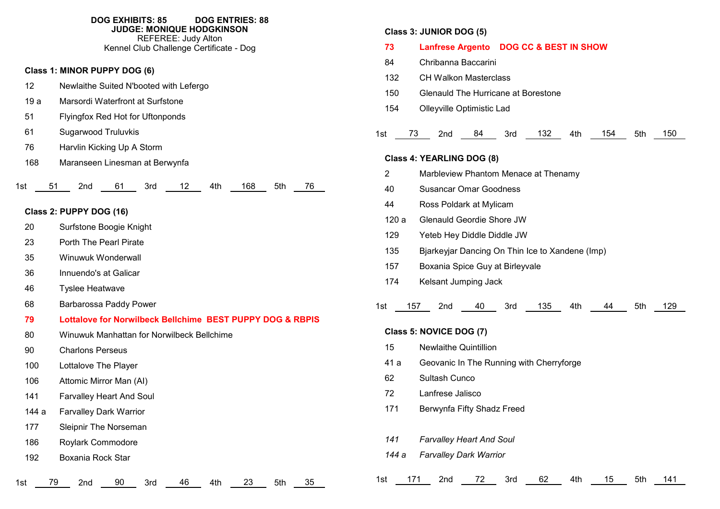|                   | <b>DOG EXHIBITS: 85</b><br><b>DOG ENTRIES: 88</b><br><b>JUDGE: MONIQUE HODGKINSON</b><br><b>REFEREE: Judy Alton</b><br>Kennel Club Challenge Certificate - Dog |
|-------------------|----------------------------------------------------------------------------------------------------------------------------------------------------------------|
|                   | Class 1: MINOR PUPPY DOG (6)                                                                                                                                   |
| $12 \overline{ }$ | Newlaithe Suited N'booted with Lefergo                                                                                                                         |
| 19a               | Marsordi Waterfront at Surfstone                                                                                                                               |
| 51                | Flyingfox Red Hot for Uftonponds                                                                                                                               |
| 61                | <b>Sugarwood Truluvkis</b>                                                                                                                                     |
| 76                | Harvlin Kicking Up A Storm                                                                                                                                     |
| 168               | Maranseen Linesman at Berwynfa                                                                                                                                 |
| 51<br>1st         | 168<br>76<br>2nd<br>61<br>3rd<br>12<br>4th<br>5th                                                                                                              |
|                   | Class 2: PUPPY DOG (16)                                                                                                                                        |
| 20                | Surfstone Boogie Knight                                                                                                                                        |
| 23                | <b>Porth The Pearl Pirate</b>                                                                                                                                  |
| 35                | Winuwuk Wonderwall                                                                                                                                             |
| 36                | Innuendo's at Galicar                                                                                                                                          |
| 46                | <b>Tyslee Heatwave</b>                                                                                                                                         |
| 68                | Barbarossa Paddy Power                                                                                                                                         |
| 79                | Lottalove for Norwilbeck Bellchime BEST PUPPY DOG & RBPIS                                                                                                      |
| 80                | Winuwuk Manhattan for Norwilbeck Bellchime                                                                                                                     |

- 
- Charlons Perseus
- Lottalove The Player
- Attomic Mirror Man (AI)
- Farvalley Heart And Soul
- 144 a Farvalley Dark Warrior
- Sleipnir The Norseman
- Roylark Commodore
- Boxania Rock Star

1st 79 2nd 90 3rd 46 4th 23 5th 35

# **Class 3: JUNIOR DOG (5)**

| 73             | Lanfrese Argento DOG CC & BEST IN SHOW                                                                                                                        |
|----------------|---------------------------------------------------------------------------------------------------------------------------------------------------------------|
| 84             | Chribanna Baccarini                                                                                                                                           |
| 132            | <b>CH Walkon Masterclass</b>                                                                                                                                  |
| 150            | Glenauld The Hurricane at Borestone                                                                                                                           |
| 154            | Olleyville Optimistic Lad                                                                                                                                     |
|                |                                                                                                                                                               |
| 1st            | 2nd 84 3rd 132<br>150<br>73 —<br>4th and the set of the set of the set of the set of the set of the set of the set of the set of the set of the<br>154<br>5th |
|                | Class 4: YEARLING DOG (8)                                                                                                                                     |
| $\overline{2}$ | Marbleview Phantom Menace at Thenamy                                                                                                                          |
| 40             | <b>Susancar Omar Goodness</b>                                                                                                                                 |
| 44             | Ross Poldark at Mylicam                                                                                                                                       |
| 120a           | <b>Glenauld Geordie Shore JW</b>                                                                                                                              |
| 129            | Yeteb Hey Diddle Diddle JW                                                                                                                                    |
| 135            | Bjarkeyjar Dancing On Thin Ice to Xandene (Imp)                                                                                                               |
| 157            | Boxania Spice Guy at Birleyvale                                                                                                                               |
| 174            | Kelsant Jumping Jack                                                                                                                                          |
|                |                                                                                                                                                               |
| 1st            | 157 2nd 40 3rd 135<br>129<br>4th<br>44<br>5th                                                                                                                 |
|                | Class 5: NOVICE DOG (7)                                                                                                                                       |
| 15             | <b>Newlaithe Quintillion</b>                                                                                                                                  |
| 41 a           | Geovanic In The Running with Cherryforge                                                                                                                      |
| 62             | Sultash Cunco                                                                                                                                                 |
| 72             | Lanfrese Jalisco                                                                                                                                              |
| 171            | Berwynfa Fifty Shadz Freed                                                                                                                                    |
|                |                                                                                                                                                               |
| 141            | <b>Farvalley Heart And Soul</b>                                                                                                                               |
| 144 a          | <b>Farvalley Dark Warrior</b>                                                                                                                                 |
|                |                                                                                                                                                               |
| 1st            | 171<br>2nd<br>72<br>3rd<br>62<br>4th<br>15<br>5th<br>141                                                                                                      |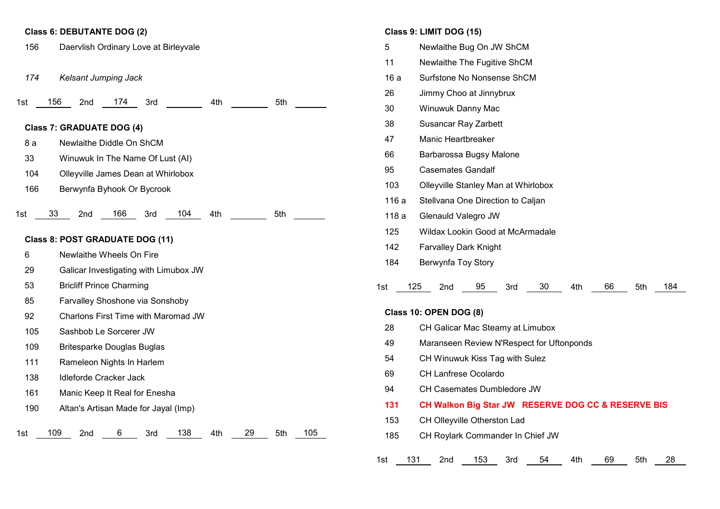### **Class 6: DEBUTANTE DOG (2)**

1st 156 2nd 174 3rd 4th 5th 1st 33 2nd 166 3rd 104 4th 5th 1st 109 2nd 6 3rd 138 4th 29 5th 105 Daervlish Ordinary Love at Birleyvale *Kelsant Jumping Jack* **Class 7: GRADUATE DOG (4)** 8 a Newlaithe Diddle On ShCM Winuwuk In The Name Of Lust (AI) Olleyville James Dean at Whirlobox Berwynfa Byhook Or Bycrook **Class 8: POST GRADUATE DOG (11)** Newlaithe Wheels On Fire Galicar Investigating with Limubox JW Bricliff Prince Charming Farvalley Shoshone via Sonshoby Charlons First Time with Maromad JW Sashbob Le Sorcerer JW Britesparke Douglas Buglas Rameleon Nights In Harlem Idleforde Cracker Jack Manic Keep It Real for Enesha Altan's Artisan Made for Jayal (Imp)

### **Class 9: LIMIT DOG (15)**

| 5          | Newlaithe Bug On JW ShCM                                      |  |  |  |  |  |  |
|------------|---------------------------------------------------------------|--|--|--|--|--|--|
| 11         | Newlaithe The Fugitive ShCM                                   |  |  |  |  |  |  |
| 16a        | Surfstone No Nonsense ShCM                                    |  |  |  |  |  |  |
| 26         | Jimmy Choo at Jinnybrux                                       |  |  |  |  |  |  |
| 30         | Winuwuk Danny Mac                                             |  |  |  |  |  |  |
| 38         | <b>Susancar Ray Zarbett</b>                                   |  |  |  |  |  |  |
| 47         | <b>Manic Heartbreaker</b>                                     |  |  |  |  |  |  |
| 66         | Barbarossa Bugsy Malone                                       |  |  |  |  |  |  |
| 95         | <b>Casemates Gandalf</b>                                      |  |  |  |  |  |  |
| 103        | Olleyville Stanley Man at Whirlobox                           |  |  |  |  |  |  |
| 116 a      | Stellvana One Direction to Caljan                             |  |  |  |  |  |  |
| 118 a      | Glenauld Valegro JW                                           |  |  |  |  |  |  |
| 125        | Wildax Lookin Good at McArmadale                              |  |  |  |  |  |  |
| 142        | <b>Farvalley Dark Knight</b>                                  |  |  |  |  |  |  |
| 184        | Berwynfa Toy Story                                            |  |  |  |  |  |  |
| 1st<br>125 | 95<br>66<br>2 <sub>nd</sub><br>3rd<br>30<br>4th<br>5th<br>184 |  |  |  |  |  |  |
|            | <b>Class 10: OPEN DOG (8)</b>                                 |  |  |  |  |  |  |
| 28         | CH Galicar Mac Steamy at Limubox                              |  |  |  |  |  |  |
| 49         | Maranseen Review N'Respect for Uftonponds                     |  |  |  |  |  |  |
| 54         | CH Winuwuk Kiss Tag with Sulez                                |  |  |  |  |  |  |
| 69         | <b>CH Lanfrese Ocolardo</b>                                   |  |  |  |  |  |  |
| 94         | <b>CH Casemates Dumbledore JW</b>                             |  |  |  |  |  |  |
| 131        | CH Walkon Big Star JW RESERVE DOG CC & RESERVE BIS            |  |  |  |  |  |  |

- CH Olleyville Otherston Lad
- CH Roylark Commander In Chief JW

1st 131 2nd 153 3rd 54 4th 69 5th 28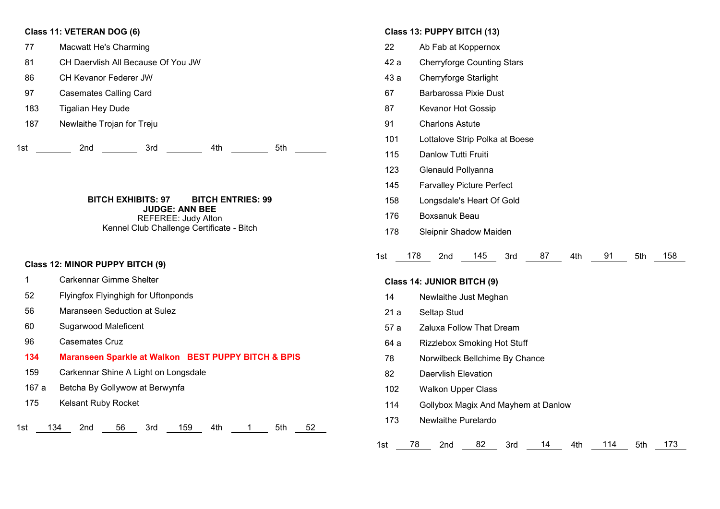## **Class 11: VETERAN DOG (6)**

1st 2nd 3rd 4th 5th Macwatt He's Charming CH Daervlish All Because Of You JW CH Kevanor Federer JW Casemates Calling Card Tigalian Hey Dude Newlaithe Trojan for Treju

> **BITCH EXHIBITS: 97 BITCH ENTRIES: 99 JUDGE: ANN BEE** REFEREE: Judy Alton Kennel Club Challenge Certificate - Bitch

## **Class 12: MINOR PUPPY BITCH (9)**

- Carkennar Gimme Shelter
- Flyingfox Flyinghigh for Uftonponds
- Maranseen Seduction at Sulez
- Sugarwood Maleficent
- Casemates Cruz
- **Maranseen Sparkle at Walkon BEST PUPPY BITCH & BPIS**

1st 134 2nd 56 3rd 159 4th 1 5th 52

- Carkennar Shine A Light on Longsdale
- 167 a Betcha By Gollywow at Berwynfa
- Kelsant Ruby Rocket

### **Class 13: PUPPY BITCH (13)**

- Ab Fab at Koppernox
- 42 a Cherryforge Counting Stars
- 43 a Cherryforge Starlight
- Barbarossa Pixie Dust
- Kevanor Hot Gossip
- Charlons Astute
- Lottalove Strip Polka at Boese
- Danlow Tutti Fruiti
- Glenauld Pollyanna
- Farvalley Picture Perfect
- Longsdale's Heart Of Gold
- Boxsanuk Beau
- Sleipnir Shadow Maiden

| 1st | 17 O | 2 <sub>nd</sub> | 145 | 3rd |  |  |  | 5th | 158 |
|-----|------|-----------------|-----|-----|--|--|--|-----|-----|
|-----|------|-----------------|-----|-----|--|--|--|-----|-----|

### **Class 14: JUNIOR BITCH (9)**

- Newlaithe Just Meghan
- 21 a Seltap Stud
- 57 a Zaluxa Follow That Dream
- 64 a Rizzlebox Smoking Hot Stuff
- Norwilbeck Bellchime By Chance
- Daervlish Elevation
- Walkon Upper Class
- Gollybox Magix And Mayhem at Danlow
- Newlaithe Purelardo

| - 15. |  | 'na |  | <br>. . |  | 14 L |  | E+h | 472 |
|-------|--|-----|--|---------|--|------|--|-----|-----|
|-------|--|-----|--|---------|--|------|--|-----|-----|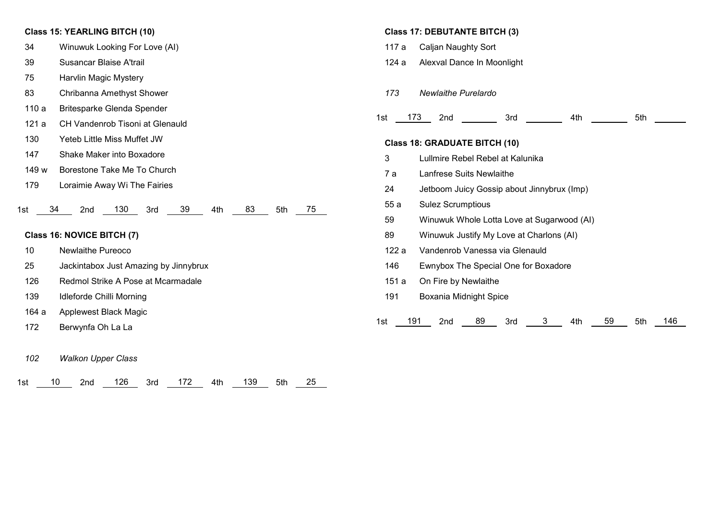## **Class 15: YEARLING BITCH (10)**

- 34 Winuwuk Looking For Love (AI)
- 39 Susancar Blaise A'trail
- 75 Harvlin Magic Mystery
- 83 Chribanna Amethyst Shower
- 110 a Britesparke Glenda Spender
- 121 a CH Vandenrob Tisoni at Glenauld
- 130 Yeteb Little Miss Muffet JW
- 147 Shake Maker into Boxadore
- 149 w Borestone Take Me To Church
- 179 Loraimie Away Wi The Fairies

#### 1st 34 2nd 130 3rd 39 4th 83 5th 75

# **Class 16: NOVICE BITCH (7)**

- 10 Newlaithe Pureoco
- 25 Jackintabox Just Amazing by Jinnybrux
- 126 Redmol Strike A Pose at Mcarmadale
- 139 Idleforde Chilli Morning
- 164 a Applewest Black Magic
- 172 Berwynfa Oh La La
- *102 Walkon Upper Class*

| 126 3rd<br>172 4th 139 5th 25<br>$\overline{10}$<br>2nd<br>1st l |  |
|------------------------------------------------------------------|--|
|------------------------------------------------------------------|--|

#### **Class 17: DEBUTANTE BITCH (3)**

- 117 a Caljan Naughty Sort
- 124 a Alexval Dance In Moonlight
- *173 Newlaithe Purelardo*

| ا ت |  | .<br>rna<br>---- | $3 - -$<br>$\sim$ $\sim$ |  | .<br>__ |
|-----|--|------------------|--------------------------|--|---------|
|-----|--|------------------|--------------------------|--|---------|

### **Class 18: GRADUATE BITCH (10)**

- 3 Lullmire Rebel Rebel at Kalunika
- 7 a Lanfrese Suits Newlaithe
- 24 Jetboom Juicy Gossip about Jinnybrux (Imp)
- 55 a Sulez Scrumptious
- 59 Winuwuk Whole Lotta Love at Sugarwood (AI)
- 89 Winuwuk Justify My Love at Charlons (AI)
- 122 a Vandenrob Vanessa via Glenauld
- 146 Ewnybox The Special One for Boxadore
- 151 a On Fire by Newlaithe
- 191 Boxania Midnight Spice

|  | 1st | 191 | 2nd |  | 3rd |  |  |  | 5th | 146 |
|--|-----|-----|-----|--|-----|--|--|--|-----|-----|
|--|-----|-----|-----|--|-----|--|--|--|-----|-----|